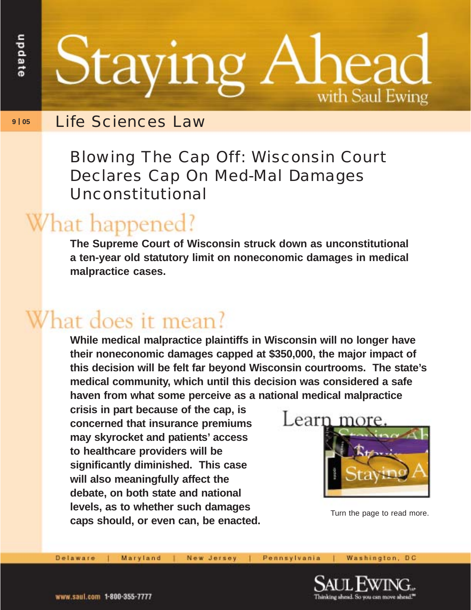Staying ea with Saul Ewing

## **9 | 05** Life Sciences Law

Blowing The Cap Off: Wisconsin Court Declares Cap On Med-Mal Damages Unconstitutional

## What happened?

**The Supreme Court of Wisconsin struck down as unconstitutional a ten-year old statutory limit on noneconomic damages in medical malpractice cases.**

## **Vhat does it mean?**

**While medical malpractice plaintiffs in Wisconsin will no longer have their noneconomic damages capped at \$350,000, the major impact of this decision will be felt far beyond Wisconsin courtrooms. The state's medical community, which until this decision was considered a safe haven from what some perceive as a national medical malpractice**

**crisis in part because of the cap, is concerned that insurance premiums may skyrocket and patients' access to healthcare providers will be significantly diminished. This case will also meaningfully affect the debate, on both state and national levels, as to whether such damages caps should, or even can, be enacted.**



Turn the page to read more.

Maryland

New Jersey

Pennsylvania

Washington, DC